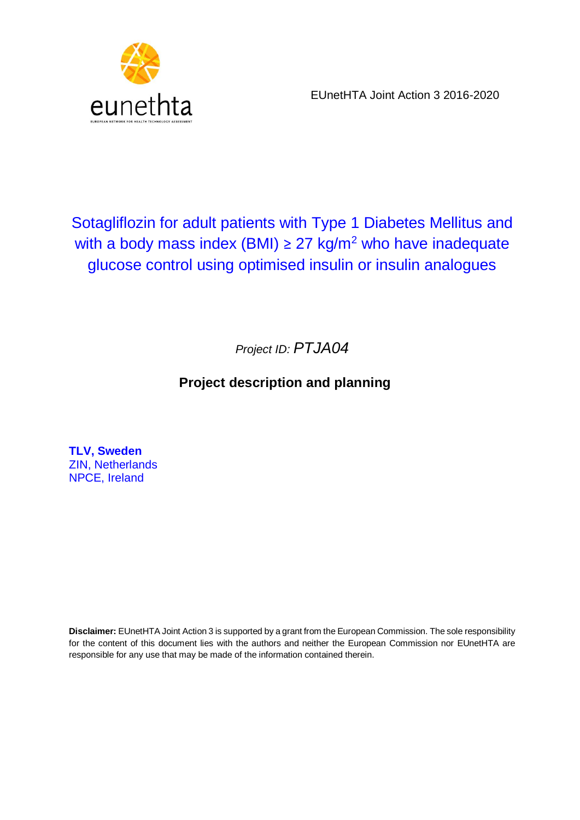

EUnetHTA Joint Action 3 2016-2020

# Sotagliflozin for adult patients with Type 1 Diabetes Mellitus and with a body mass index (BMI)  $\geq$  27 kg/m<sup>2</sup> who have inadequate glucose control using optimised insulin or insulin analogues

*Project ID: PTJA04*

# **Project description and planning**

**TLV, Sweden** ZIN, Netherlands NPCE, Ireland

**Disclaimer:** EUnetHTA Joint Action 3 is supported by a grant from the European Commission. The sole responsibility for the content of this document lies with the authors and neither the European Commission nor EUnetHTA are responsible for any use that may be made of the information contained therein.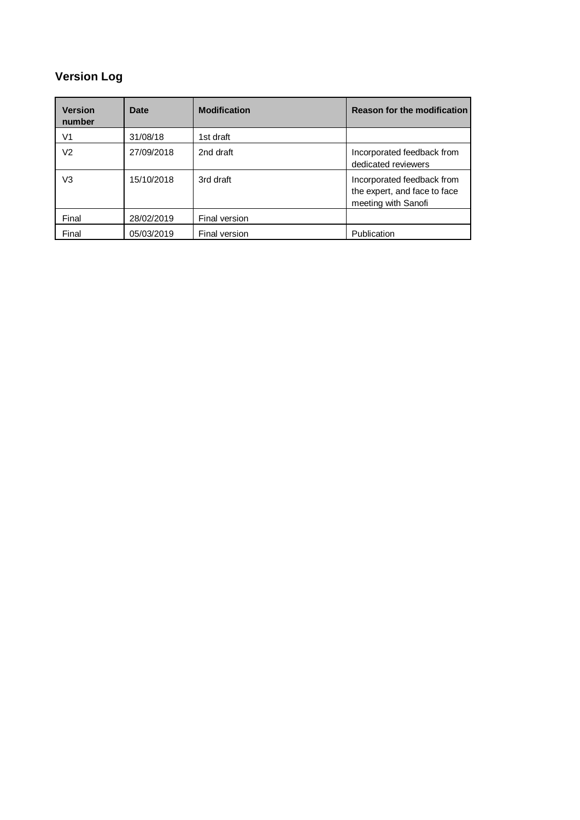# **Version Log**

| <b>Version</b><br>number | Date       | <b>Modification</b> | <b>Reason for the modification</b>                                                |
|--------------------------|------------|---------------------|-----------------------------------------------------------------------------------|
| V1                       | 31/08/18   | 1st draft           |                                                                                   |
| V2                       | 27/09/2018 | 2nd draft           | Incorporated feedback from<br>dedicated reviewers                                 |
| V3                       | 15/10/2018 | 3rd draft           | Incorporated feedback from<br>the expert, and face to face<br>meeting with Sanofi |
| Final                    | 28/02/2019 | Final version       |                                                                                   |
| Final                    | 05/03/2019 | Final version       | Publication                                                                       |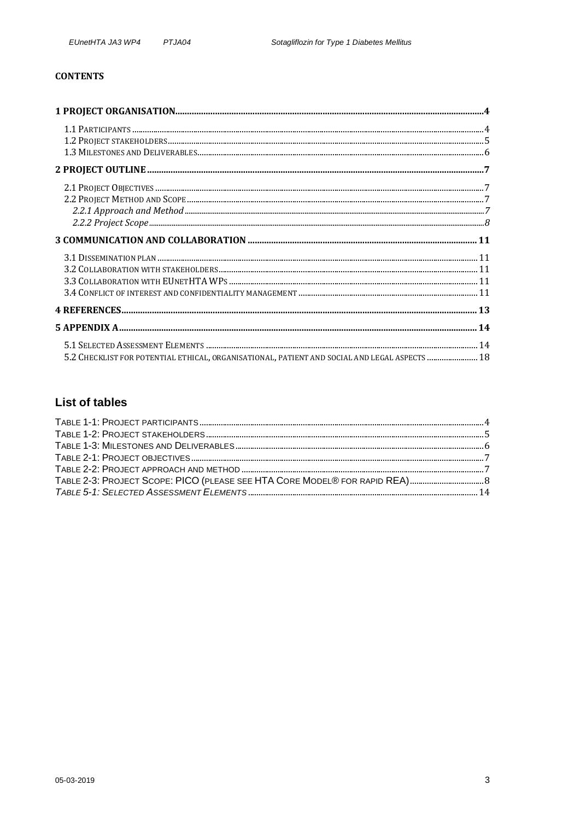#### **CONTENTS**

| $3.1\, {\rm DISEMMATION\, PLAN\,}.$                                                           |  |
|-----------------------------------------------------------------------------------------------|--|
|                                                                                               |  |
|                                                                                               |  |
| 5.2 CHECKLIST FOR POTENTIAL ETHICAL, ORGANISATIONAL, PATIENT AND SOCIAL AND LEGAL ASPECTS  18 |  |

# **List of tables**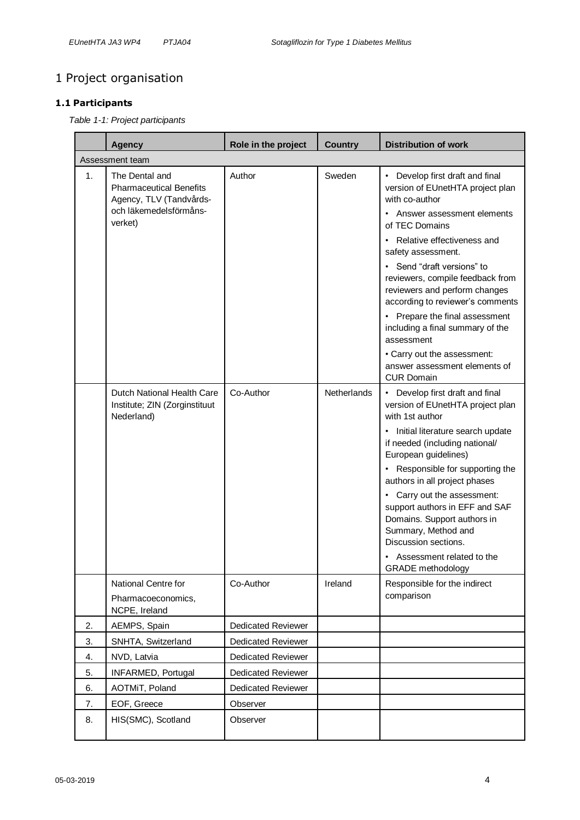# <span id="page-3-0"></span>1 Project organisation

## <span id="page-3-2"></span><span id="page-3-1"></span>**1.1 Participants**

*Table 1-1: Project participants* 

|    | <b>Agency</b>                                                                                                    | Role in the project       | <b>Country</b> | <b>Distribution of work</b>                                                                                                                                                                                                                                                                                                                                                                                                                                                                |
|----|------------------------------------------------------------------------------------------------------------------|---------------------------|----------------|--------------------------------------------------------------------------------------------------------------------------------------------------------------------------------------------------------------------------------------------------------------------------------------------------------------------------------------------------------------------------------------------------------------------------------------------------------------------------------------------|
|    | Assessment team                                                                                                  |                           |                |                                                                                                                                                                                                                                                                                                                                                                                                                                                                                            |
| 1. | The Dental and<br><b>Pharmaceutical Benefits</b><br>Agency, TLV (Tandvårds-<br>och läkemedelsförmåns-<br>verket) | Author                    | Sweden         | • Develop first draft and final<br>version of EUnetHTA project plan<br>with co-author<br>• Answer assessment elements<br>of TEC Domains<br>• Relative effectiveness and<br>safety assessment.<br>• Send "draft versions" to<br>reviewers, compile feedback from<br>reviewers and perform changes<br>according to reviewer's comments<br>• Prepare the final assessment<br>including a final summary of the<br>assessment<br>• Carry out the assessment:<br>answer assessment elements of   |
|    | Dutch National Health Care<br>Institute; ZIN (Zorginstituut<br>Nederland)                                        | Co-Author                 | Netherlands    | <b>CUR Domain</b><br>• Develop first draft and final<br>version of EUnetHTA project plan<br>with 1st author<br>• Initial literature search update<br>if needed (including national/<br>European guidelines)<br>• Responsible for supporting the<br>authors in all project phases<br>• Carry out the assessment:<br>support authors in EFF and SAF<br>Domains. Support authors in<br>Summary, Method and<br>Discussion sections.<br>• Assessment related to the<br><b>GRADE</b> methodology |
|    | National Centre for<br>Pharmacoeconomics,<br>NCPE, Ireland                                                       | Co-Author                 | Ireland        | Responsible for the indirect<br>comparison                                                                                                                                                                                                                                                                                                                                                                                                                                                 |
| 2. | AEMPS, Spain                                                                                                     | <b>Dedicated Reviewer</b> |                |                                                                                                                                                                                                                                                                                                                                                                                                                                                                                            |
| 3. | SNHTA, Switzerland                                                                                               | <b>Dedicated Reviewer</b> |                |                                                                                                                                                                                                                                                                                                                                                                                                                                                                                            |
| 4. | NVD, Latvia                                                                                                      | <b>Dedicated Reviewer</b> |                |                                                                                                                                                                                                                                                                                                                                                                                                                                                                                            |
| 5. | INFARMED, Portugal                                                                                               | <b>Dedicated Reviewer</b> |                |                                                                                                                                                                                                                                                                                                                                                                                                                                                                                            |
| 6. | AOTMiT, Poland                                                                                                   | <b>Dedicated Reviewer</b> |                |                                                                                                                                                                                                                                                                                                                                                                                                                                                                                            |
| 7. | EOF, Greece                                                                                                      | Observer                  |                |                                                                                                                                                                                                                                                                                                                                                                                                                                                                                            |
| 8. | HIS(SMC), Scotland                                                                                               | Observer                  |                |                                                                                                                                                                                                                                                                                                                                                                                                                                                                                            |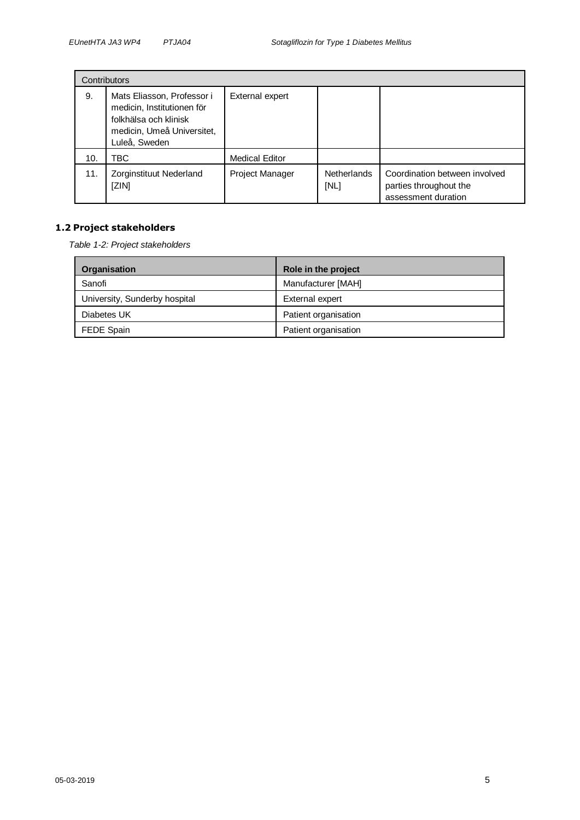|     | Contributors                                                                                                                     |                       |                            |                                                                                |
|-----|----------------------------------------------------------------------------------------------------------------------------------|-----------------------|----------------------------|--------------------------------------------------------------------------------|
| 9.  | Mats Eliasson, Professor i<br>medicin, Institutionen för<br>folkhälsa och klinisk<br>medicin, Umeå Universitet,<br>Luleå, Sweden | External expert       |                            |                                                                                |
| 10. | ЪC.                                                                                                                              | <b>Medical Editor</b> |                            |                                                                                |
| 11. | Zorginstituut Nederland<br>[ZIN]                                                                                                 | Project Manager       | <b>Netherlands</b><br>[NL] | Coordination between involved<br>parties throughout the<br>assessment duration |

#### <span id="page-4-1"></span><span id="page-4-0"></span>**1.2 Project stakeholders**

*Table 1-2: Project stakeholders*

| Organisation                  | Role in the project  |
|-------------------------------|----------------------|
| Sanofi                        | Manufacturer [MAH]   |
| University, Sunderby hospital | External expert      |
| Diabetes UK                   | Patient organisation |
| FEDE Spain                    | Patient organisation |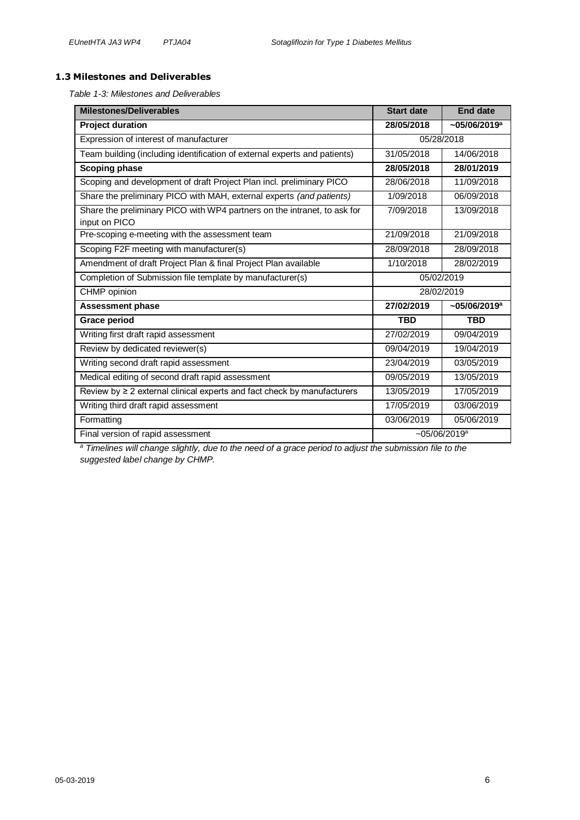#### <span id="page-5-1"></span><span id="page-5-0"></span>**1.3 Milestones and Deliverables**

*Table 1-3: Milestones and Deliverables*

| <b>Milestones/Deliverables</b>                                                            | <b>Start date</b> | <b>End date</b>             |  |
|-------------------------------------------------------------------------------------------|-------------------|-----------------------------|--|
| <b>Project duration</b>                                                                   | 28/05/2018        | $~105/06/2019$ <sup>a</sup> |  |
| Expression of interest of manufacturer                                                    |                   | 05/28/2018                  |  |
| Team building (including identification of external experts and patients)                 | 31/05/2018        | 14/06/2018                  |  |
| Scoping phase                                                                             | 28/05/2018        | 28/01/2019                  |  |
| Scoping and development of draft Project Plan incl. preliminary PICO                      | 28/06/2018        | 11/09/2018                  |  |
| Share the preliminary PICO with MAH, external experts (and patients)                      | 1/09/2018         | 06/09/2018                  |  |
| Share the preliminary PICO with WP4 partners on the intranet, to ask for<br>input on PICO | 7/09/2018         | 13/09/2018                  |  |
| Pre-scoping e-meeting with the assessment team                                            | 21/09/2018        | 21/09/2018                  |  |
| Scoping F2F meeting with manufacturer(s)                                                  | 28/09/2018        | 28/09/2018                  |  |
| Amendment of draft Project Plan & final Project Plan available                            | 1/10/2018         | 28/02/2019                  |  |
| Completion of Submission file template by manufacturer(s)                                 | 05/02/2019        |                             |  |
| CHMP opinion                                                                              | 28/02/2019        |                             |  |
| <b>Assessment phase</b>                                                                   | 27/02/2019        | $~105/06/2019$ <sup>a</sup> |  |
| <b>Grace period</b>                                                                       | <b>TBD</b>        | <b>TBD</b>                  |  |
| Writing first draft rapid assessment                                                      | 27/02/2019        | 09/04/2019                  |  |
| Review by dedicated reviewer(s)                                                           | 09/04/2019        | 19/04/2019                  |  |
| Writing second draft rapid assessment<br>23/04/2019                                       |                   | 03/05/2019                  |  |
| Medical editing of second draft rapid assessment                                          | 09/05/2019        | 13/05/2019                  |  |
| Review by $\geq 2$ external clinical experts and fact check by manufacturers              | 13/05/2019        | 17/05/2019                  |  |
| Writing third draft rapid assessment                                                      | 17/05/2019        | 03/06/2019                  |  |
| Formatting                                                                                | 03/06/2019        | 05/06/2019                  |  |
| Final version of rapid assessment                                                         |                   | $-05/06/2019$ <sup>a</sup>  |  |

*<sup>a</sup> Timelines will change slightly, due to the need of a grace period to adjust the submission file to the suggested label change by CHMP.*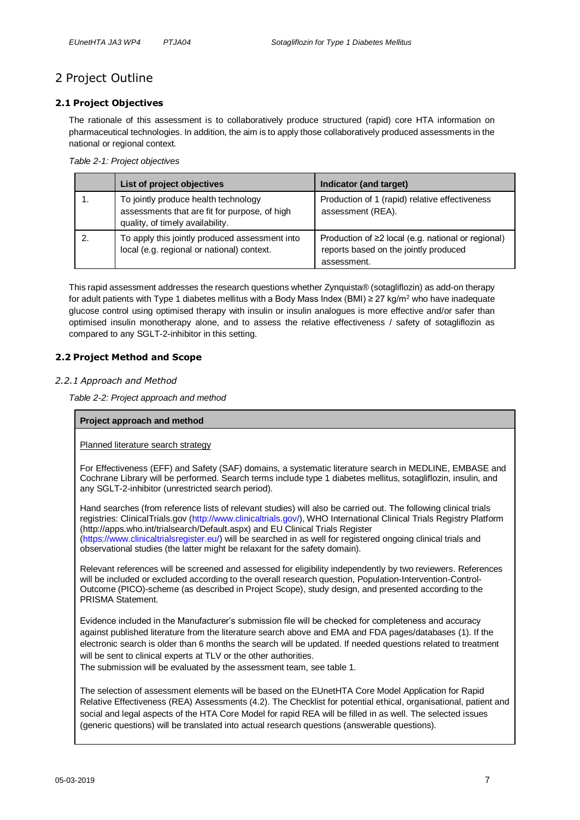# <span id="page-6-0"></span>2 Project Outline

#### <span id="page-6-1"></span>**2.1 Project Objectives**

The rationale of this assessment is to collaboratively produce structured (rapid) core HTA information on pharmaceutical technologies. In addition, the aim is to apply those collaboratively produced assessments in the national or regional context*.* 

<span id="page-6-4"></span>*Table 2-1: Project objectives* 

| List of project objectives                                                                                                | Indicator (and target)                                                                                     |
|---------------------------------------------------------------------------------------------------------------------------|------------------------------------------------------------------------------------------------------------|
| To jointly produce health technology<br>assessments that are fit for purpose, of high<br>quality, of timely availability. | Production of 1 (rapid) relative effectiveness<br>assessment (REA).                                        |
| To apply this jointly produced assessment into<br>local (e.g. regional or national) context.                              | Production of ≥2 local (e.g. national or regional)<br>reports based on the jointly produced<br>assessment. |

This rapid assessment addresses the research questions whether Zynquista® (sotagliflozin) as add-on therapy for adult patients with Type 1 diabetes mellitus with a Body Mass Index (BMI) ≥ 27 kg/m<sup>2</sup> who have inadequate glucose control using optimised therapy with insulin or insulin analogues is more effective and/or safer than optimised insulin monotherapy alone, and to assess the relative effectiveness / safety of sotagliflozin as compared to any SGLT-2-inhibitor in this setting.

#### <span id="page-6-2"></span>**2.2 Project Method and Scope**

#### <span id="page-6-5"></span><span id="page-6-3"></span>*2.2.1 Approach and Method*

*Table 2-2: Project approach and method*

#### **Project approach and method**

#### Planned literature search strategy

For Effectiveness (EFF) and Safety (SAF) domains, a systematic literature search in MEDLINE, EMBASE and Cochrane Library will be performed. Search terms include type 1 diabetes mellitus, sotagliflozin, insulin, and any SGLT-2-inhibitor (unrestricted search period).

Hand searches (from reference lists of relevant studies) will also be carried out. The following clinical trials registries: ClinicalTrials.gov (http://www.clinicaltrials.gov/), WHO International Clinical Trials Registry Platform (http://apps.who.int/trialsearch/Default.aspx) and EU Clinical Trials Register (https://www.clinicaltrialsregister.eu/) will be searched in as well for registered ongoing clinical trials and observational studies (the latter might be relaxant for the safety domain).

Relevant references will be screened and assessed for eligibility independently by two reviewers. References will be included or excluded according to the overall research question, Population-Intervention-Control-Outcome (PICO)-scheme (as described in Project Scope), study design, and presented according to the PRISMA Statement.

Evidence included in the Manufacturer's submission file will be checked for completeness and accuracy against published literature from the literature search above and EMA and FDA pages/databases (1). If the electronic search is older than 6 months the search will be updated. If needed questions related to treatment will be sent to clinical experts at TLV or the other authorities.

The submission will be evaluated by the assessment team, see table 1.

The selection of assessment elements will be based on the EUnetHTA Core Model Application for Rapid Relative Effectiveness (REA) Assessments (4.2). The Checklist for potential ethical, organisational, patient and social and legal aspects of the HTA Core Model for rapid REA will be filled in as well. The selected issues (generic questions) will be translated into actual research questions (answerable questions).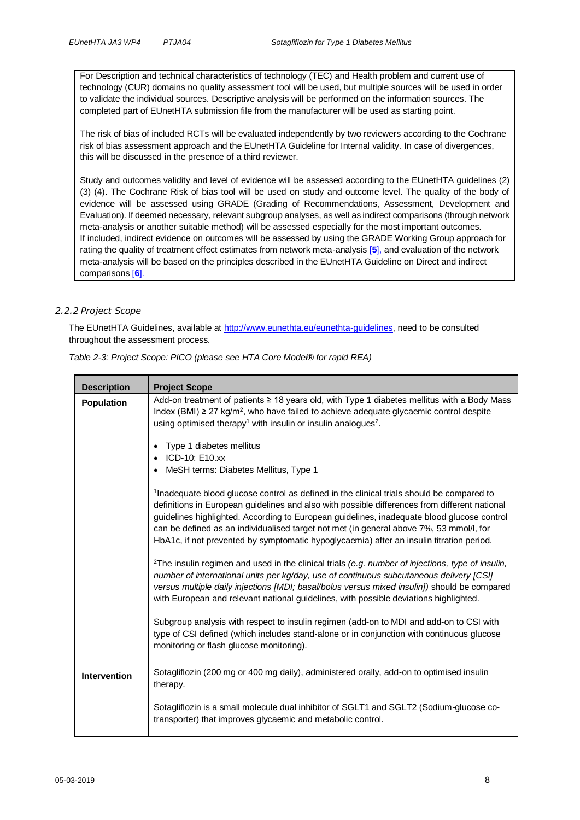For Description and technical characteristics of technology (TEC) and Health problem and current use of technology (CUR) domains no quality assessment tool will be used, but multiple sources will be used in order to validate the individual sources. Descriptive analysis will be performed on the information sources. The completed part of EUnetHTA submission file from the manufacturer will be used as starting point.

The risk of bias of included RCTs will be evaluated independently by two reviewers according to the Cochrane risk of bias assessment approach and the EUnetHTA Guideline for Internal validity. In case of divergences, this will be discussed in the presence of a third reviewer.

Study and outcomes validity and level of evidence will be assessed according to the EUnetHTA guidelines (2) (3) (4). The Cochrane Risk of bias tool will be used on study and outcome level. The quality of the body of evidence will be assessed using GRADE (Grading of Recommendations, Assessment, Development and Evaluation). If deemed necessary, relevant subgroup analyses, as well as indirect comparisons (through network meta-analysis or another suitable method) will be assessed especially for the most important outcomes. If included, indirect evidence on outcomes will be assessed by using the GRADE Working Group approach for rating the quality of treatment effect estimates from network meta-analysis [**5**], and evaluation of the network meta-analysis will be based on the principles described in the EUnetHTA Guideline on Direct and indirect comparisons [**6**].

#### <span id="page-7-0"></span>*2.2.2 Project Scope*

The EUnetHTA Guidelines, available at [http://www.eunethta.eu/eunethta-guidelines,](http://www.eunethta.eu/eunethta-guidelines) need to be consulted throughout the assessment process.

| <b>Description</b>  | <b>Project Scope</b>                                                                                                                                                                                                                                                                                                                                                                                                                                                                                                                                                                                                                                                                                                     |  |  |
|---------------------|--------------------------------------------------------------------------------------------------------------------------------------------------------------------------------------------------------------------------------------------------------------------------------------------------------------------------------------------------------------------------------------------------------------------------------------------------------------------------------------------------------------------------------------------------------------------------------------------------------------------------------------------------------------------------------------------------------------------------|--|--|
| <b>Population</b>   | Add-on treatment of patients ≥ 18 years old, with Type 1 diabetes mellitus with a Body Mass<br>Index (BMI) $\geq$ 27 kg/m <sup>2</sup> , who have failed to achieve adequate glycaemic control despite<br>using optimised therapy <sup>1</sup> with insulin or insulin analogues <sup>2</sup> .<br>Type 1 diabetes mellitus<br>$\bullet$<br>ICD-10: E10.xx<br>MeSH terms: Diabetes Mellitus, Type 1<br>$\bullet$<br><sup>1</sup> Inadequate blood glucose control as defined in the clinical trials should be compared to<br>definitions in European guidelines and also with possible differences from different national<br>guidelines highlighted. According to European guidelines, inadequate blood glucose control |  |  |
|                     | can be defined as an individualised target not met (in general above 7%, 53 mmol/l, for<br>HbA1c, if not prevented by symptomatic hypoglycaemia) after an insulin titration period.                                                                                                                                                                                                                                                                                                                                                                                                                                                                                                                                      |  |  |
|                     | <sup>2</sup> The insulin regimen and used in the clinical trials (e.g. number of injections, type of insulin,<br>number of international units per kg/day, use of continuous subcutaneous delivery [CSI]<br>versus multiple daily injections [MDI; basal/bolus versus mixed insulin]) should be compared<br>with European and relevant national guidelines, with possible deviations highlighted.                                                                                                                                                                                                                                                                                                                        |  |  |
|                     | Subgroup analysis with respect to insulin regimen (add-on to MDI and add-on to CSI with<br>type of CSI defined (which includes stand-alone or in conjunction with continuous glucose<br>monitoring or flash glucose monitoring).                                                                                                                                                                                                                                                                                                                                                                                                                                                                                         |  |  |
| <b>Intervention</b> | Sotagliflozin (200 mg or 400 mg daily), administered orally, add-on to optimised insulin<br>therapy.                                                                                                                                                                                                                                                                                                                                                                                                                                                                                                                                                                                                                     |  |  |
|                     | Sotagliflozin is a small molecule dual inhibitor of SGLT1 and SGLT2 (Sodium-glucose co-<br>transporter) that improves glycaemic and metabolic control.                                                                                                                                                                                                                                                                                                                                                                                                                                                                                                                                                                   |  |  |

<span id="page-7-1"></span>*Table 2-3: Project Scope: PICO (please see HTA Core Model® for rapid REA)*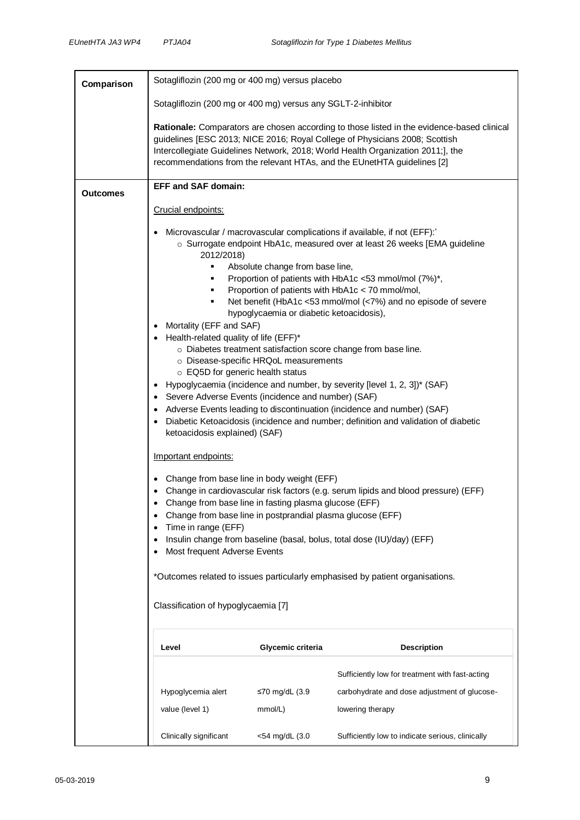| Comparison      | Sotagliflozin (200 mg or 400 mg) versus placebo                                                                                                                                                                            |                                                                                                                      |                                                                                                                                                                                                                                                                                                                                                                                                                                                                                                                                                                                                                                                        |
|-----------------|----------------------------------------------------------------------------------------------------------------------------------------------------------------------------------------------------------------------------|----------------------------------------------------------------------------------------------------------------------|--------------------------------------------------------------------------------------------------------------------------------------------------------------------------------------------------------------------------------------------------------------------------------------------------------------------------------------------------------------------------------------------------------------------------------------------------------------------------------------------------------------------------------------------------------------------------------------------------------------------------------------------------------|
|                 | Sotagliflozin (200 mg or 400 mg) versus any SGLT-2-inhibitor                                                                                                                                                               |                                                                                                                      |                                                                                                                                                                                                                                                                                                                                                                                                                                                                                                                                                                                                                                                        |
|                 |                                                                                                                                                                                                                            |                                                                                                                      | Rationale: Comparators are chosen according to those listed in the evidence-based clinical<br>guidelines [ESC 2013; NICE 2016; Royal College of Physicians 2008; Scottish<br>Intercollegiate Guidelines Network, 2018; World Health Organization 2011;], the<br>recommendations from the relevant HTAs, and the EUnetHTA guidelines [2]                                                                                                                                                                                                                                                                                                                |
| <b>Outcomes</b> | <b>EFF and SAF domain:</b>                                                                                                                                                                                                 |                                                                                                                      |                                                                                                                                                                                                                                                                                                                                                                                                                                                                                                                                                                                                                                                        |
|                 | Crucial endpoints:                                                                                                                                                                                                         |                                                                                                                      |                                                                                                                                                                                                                                                                                                                                                                                                                                                                                                                                                                                                                                                        |
|                 | 2012/2018)<br>٠<br>٠<br>Mortality (EFF and SAF)<br>• Health-related quality of life (EFF)*<br>○ EQ5D for generic health status<br>• Severe Adverse Events (incidence and number) (SAF)<br>ketoacidosis explained) (SAF)    | Absolute change from base line,<br>hypoglycaemia or diabetic ketoacidosis),<br>o Disease-specific HRQoL measurements | Microvascular / macrovascular complications if available, if not (EFF):<br>○ Surrogate endpoint HbA1c, measured over at least 26 weeks [EMA guideline<br>Proportion of patients with HbA1c <53 mmol/mol (7%)*,<br>Proportion of patients with HbA1c < 70 mmol/mol,<br>Net benefit (HbA1c <53 mmol/mol (<7%) and no episode of severe<br>o Diabetes treatment satisfaction score change from base line.<br>Hypoglycaemia (incidence and number, by severity [level 1, 2, 3])* (SAF)<br>• Adverse Events leading to discontinuation (incidence and number) (SAF)<br>• Diabetic Ketoacidosis (incidence and number; definition and validation of diabetic |
|                 | Important endpoints:                                                                                                                                                                                                       |                                                                                                                      |                                                                                                                                                                                                                                                                                                                                                                                                                                                                                                                                                                                                                                                        |
|                 | • Change from base line in body weight (EFF)<br>Change from base line in fasting plasma glucose (EFF)<br>Change from base line in postprandial plasma glucose (EFF)<br>Time in range (EFF)<br>Most frequent Adverse Events |                                                                                                                      | • Change in cardiovascular risk factors (e.g. serum lipids and blood pressure) (EFF)<br>Insulin change from baseline (basal, bolus, total dose (IU)/day) (EFF)                                                                                                                                                                                                                                                                                                                                                                                                                                                                                         |
|                 | *Outcomes related to issues particularly emphasised by patient organisations.                                                                                                                                              |                                                                                                                      |                                                                                                                                                                                                                                                                                                                                                                                                                                                                                                                                                                                                                                                        |
|                 | Classification of hypoglycaemia [7]                                                                                                                                                                                        |                                                                                                                      |                                                                                                                                                                                                                                                                                                                                                                                                                                                                                                                                                                                                                                                        |
|                 | Level                                                                                                                                                                                                                      | Glycemic criteria                                                                                                    | <b>Description</b>                                                                                                                                                                                                                                                                                                                                                                                                                                                                                                                                                                                                                                     |
|                 |                                                                                                                                                                                                                            |                                                                                                                      | Sufficiently low for treatment with fast-acting                                                                                                                                                                                                                                                                                                                                                                                                                                                                                                                                                                                                        |
|                 | Hypoglycemia alert                                                                                                                                                                                                         | ≤70 mg/dL (3.9                                                                                                       | carbohydrate and dose adjustment of glucose-                                                                                                                                                                                                                                                                                                                                                                                                                                                                                                                                                                                                           |
|                 | value (level 1)                                                                                                                                                                                                            | mmol/L)                                                                                                              | lowering therapy                                                                                                                                                                                                                                                                                                                                                                                                                                                                                                                                                                                                                                       |
|                 | Clinically significant                                                                                                                                                                                                     | <54 mg/dL (3.0                                                                                                       | Sufficiently low to indicate serious, clinically                                                                                                                                                                                                                                                                                                                                                                                                                                                                                                                                                                                                       |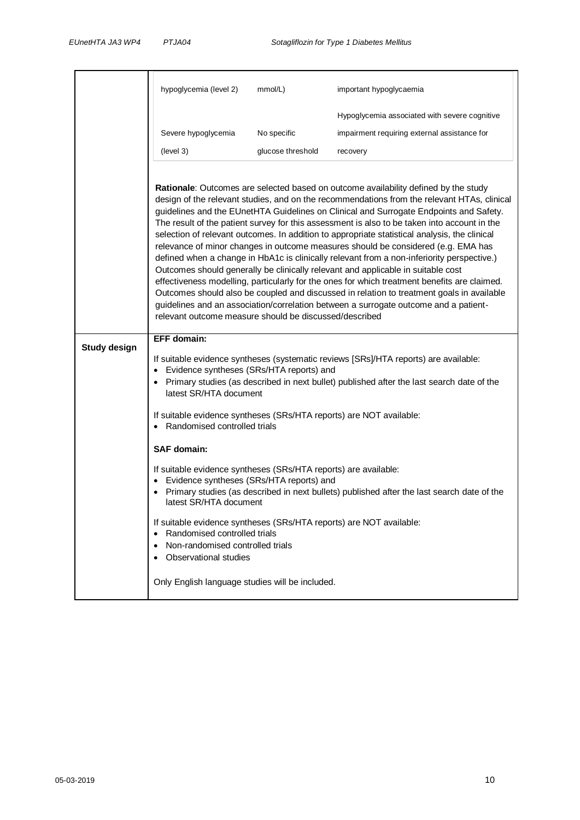|                     | hypoglycemia (level 2)                                                                                                                                                                                                                                  | mmol/L)           | important hypoglycaemia                                                                                                                                                                                                                                                                                                                                                                                                                                                                                                                                                                                                                                                                                                                                                                                                                                                                                                                                                                                                                   |
|---------------------|---------------------------------------------------------------------------------------------------------------------------------------------------------------------------------------------------------------------------------------------------------|-------------------|-------------------------------------------------------------------------------------------------------------------------------------------------------------------------------------------------------------------------------------------------------------------------------------------------------------------------------------------------------------------------------------------------------------------------------------------------------------------------------------------------------------------------------------------------------------------------------------------------------------------------------------------------------------------------------------------------------------------------------------------------------------------------------------------------------------------------------------------------------------------------------------------------------------------------------------------------------------------------------------------------------------------------------------------|
|                     |                                                                                                                                                                                                                                                         |                   | Hypoglycemia associated with severe cognitive                                                                                                                                                                                                                                                                                                                                                                                                                                                                                                                                                                                                                                                                                                                                                                                                                                                                                                                                                                                             |
|                     | Severe hypoglycemia                                                                                                                                                                                                                                     | No specific       | impairment requiring external assistance for                                                                                                                                                                                                                                                                                                                                                                                                                                                                                                                                                                                                                                                                                                                                                                                                                                                                                                                                                                                              |
|                     | (level 3)                                                                                                                                                                                                                                               | glucose threshold | recovery                                                                                                                                                                                                                                                                                                                                                                                                                                                                                                                                                                                                                                                                                                                                                                                                                                                                                                                                                                                                                                  |
|                     | relevant outcome measure should be discussed/described                                                                                                                                                                                                  |                   | Rationale: Outcomes are selected based on outcome availability defined by the study<br>design of the relevant studies, and on the recommendations from the relevant HTAs, clinical<br>guidelines and the EUnetHTA Guidelines on Clinical and Surrogate Endpoints and Safety.<br>The result of the patient survey for this assessment is also to be taken into account in the<br>selection of relevant outcomes. In addition to appropriate statistical analysis, the clinical<br>relevance of minor changes in outcome measures should be considered (e.g. EMA has<br>defined when a change in HbA1c is clinically relevant from a non-inferiority perspective.)<br>Outcomes should generally be clinically relevant and applicable in suitable cost<br>effectiveness modelling, particularly for the ones for which treatment benefits are claimed.<br>Outcomes should also be coupled and discussed in relation to treatment goals in available<br>guidelines and an association/correlation between a surrogate outcome and a patient- |
| <b>Study design</b> | <b>EFF</b> domain:                                                                                                                                                                                                                                      |                   |                                                                                                                                                                                                                                                                                                                                                                                                                                                                                                                                                                                                                                                                                                                                                                                                                                                                                                                                                                                                                                           |
|                     | If suitable evidence syntheses (systematic reviews [SRs]/HTA reports) are available:<br>Evidence syntheses (SRs/HTA reports) and<br>Primary studies (as described in next bullet) published after the last search date of the<br>latest SR/HTA document |                   |                                                                                                                                                                                                                                                                                                                                                                                                                                                                                                                                                                                                                                                                                                                                                                                                                                                                                                                                                                                                                                           |
|                     | If suitable evidence syntheses (SRs/HTA reports) are NOT available:<br>Randomised controlled trials                                                                                                                                                     |                   |                                                                                                                                                                                                                                                                                                                                                                                                                                                                                                                                                                                                                                                                                                                                                                                                                                                                                                                                                                                                                                           |
|                     | <b>SAF domain:</b>                                                                                                                                                                                                                                      |                   |                                                                                                                                                                                                                                                                                                                                                                                                                                                                                                                                                                                                                                                                                                                                                                                                                                                                                                                                                                                                                                           |
|                     | If suitable evidence syntheses (SRs/HTA reports) are available:<br>• Evidence syntheses (SRs/HTA reports) and<br>latest SR/HTA document                                                                                                                 |                   | Primary studies (as described in next bullets) published after the last search date of the                                                                                                                                                                                                                                                                                                                                                                                                                                                                                                                                                                                                                                                                                                                                                                                                                                                                                                                                                |
|                     | If suitable evidence syntheses (SRs/HTA reports) are NOT available:<br>Randomised controlled trials<br>$\bullet$<br>Non-randomised controlled trials<br>$\bullet$<br>Observational studies<br>$\bullet$                                                 |                   |                                                                                                                                                                                                                                                                                                                                                                                                                                                                                                                                                                                                                                                                                                                                                                                                                                                                                                                                                                                                                                           |
|                     | Only English language studies will be included.                                                                                                                                                                                                         |                   |                                                                                                                                                                                                                                                                                                                                                                                                                                                                                                                                                                                                                                                                                                                                                                                                                                                                                                                                                                                                                                           |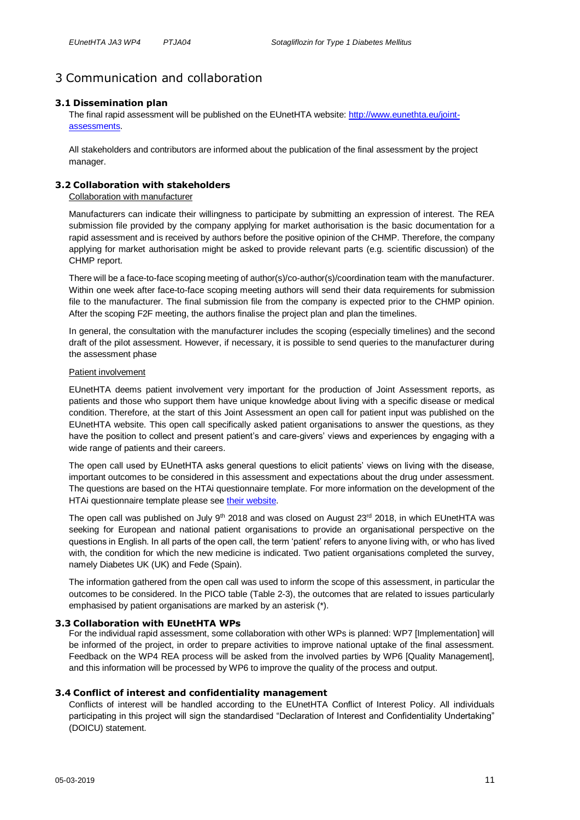## <span id="page-10-0"></span>3 Communication and collaboration

#### <span id="page-10-1"></span>**3.1 Dissemination plan**

The final rapid assessment will be published on the EUnetHTA website: [http://www.eunethta.eu/joint](http://www.eunethta.eu/joint-assessments)[assessments.](http://www.eunethta.eu/joint-assessments)

All stakeholders and contributors are informed about the publication of the final assessment by the project manager

#### <span id="page-10-2"></span>**3.2 Collaboration with stakeholders**

Collaboration with manufacturer

Manufacturers can indicate their willingness to participate by submitting an expression of interest. The REA submission file provided by the company applying for market authorisation is the basic documentation for a rapid assessment and is received by authors before the positive opinion of the CHMP. Therefore, the company applying for market authorisation might be asked to provide relevant parts (e.g. scientific discussion) of the CHMP report.

There will be a face-to-face scoping meeting of author(s)/co-author(s)/coordination team with the manufacturer. Within one week after face-to-face scoping meeting authors will send their data requirements for submission file to the manufacturer. The final submission file from the company is expected prior to the CHMP opinion. After the scoping F2F meeting, the authors finalise the project plan and plan the timelines.

In general, the consultation with the manufacturer includes the scoping (especially timelines) and the second draft of the pilot assessment. However, if necessary, it is possible to send queries to the manufacturer during the assessment phase

#### Patient involvement

EUnetHTA deems patient involvement very important for the production of Joint Assessment reports, as patients and those who support them have unique knowledge about living with a specific disease or medical condition. Therefore, at the start of this Joint Assessment an open call for patient input was published on the EUnetHTA website. This open call specifically asked patient organisations to answer the questions, as they have the position to collect and present patient's and care-givers' views and experiences by engaging with a wide range of patients and their careers.

The open call used by EUnetHTA asks general questions to elicit patients' views on living with the disease, important outcomes to be considered in this assessment and expectations about the drug under assessment. The questions are based on the HTAi questionnaire template. For more information on the development of the HTAi questionnaire template please see [their website.](https://htai.org/interest-groups/pcig/resources/for-patients-and-patient-groups/)

The open call was published on July 9<sup>th</sup> 2018 and was closed on August  $23<sup>rd</sup>$  2018, in which EUnetHTA was seeking for European and national patient organisations to provide an organisational perspective on the questions in English. In all parts of the open call, the term 'patient' refers to anyone living with, or who has lived with, the condition for which the new medicine is indicated. Two patient organisations completed the survey, namely Diabetes UK (UK) and Fede (Spain).

The information gathered from the open call was used to inform the scope of this assessment, in particular the outcomes to be considered. In the PICO table [\(Table 2-3\)](#page-7-1), the outcomes that are related to issues particularly emphasised by patient organisations are marked by an asterisk (\*).

#### <span id="page-10-3"></span>**3.3 Collaboration with EUnetHTA WPs**

For the individual rapid assessment, some collaboration with other WPs is planned: WP7 [Implementation] will be informed of the project, in order to prepare activities to improve national uptake of the final assessment. Feedback on the WP4 REA process will be asked from the involved parties by WP6 [Quality Management], and this information will be processed by WP6 to improve the quality of the process and output.

#### <span id="page-10-4"></span>**3.4 Conflict of interest and confidentiality management**

Conflicts of interest will be handled according to the EUnetHTA Conflict of Interest Policy. All individuals participating in this project will sign the standardised "Declaration of Interest and Confidentiality Undertaking" (DOICU) statement.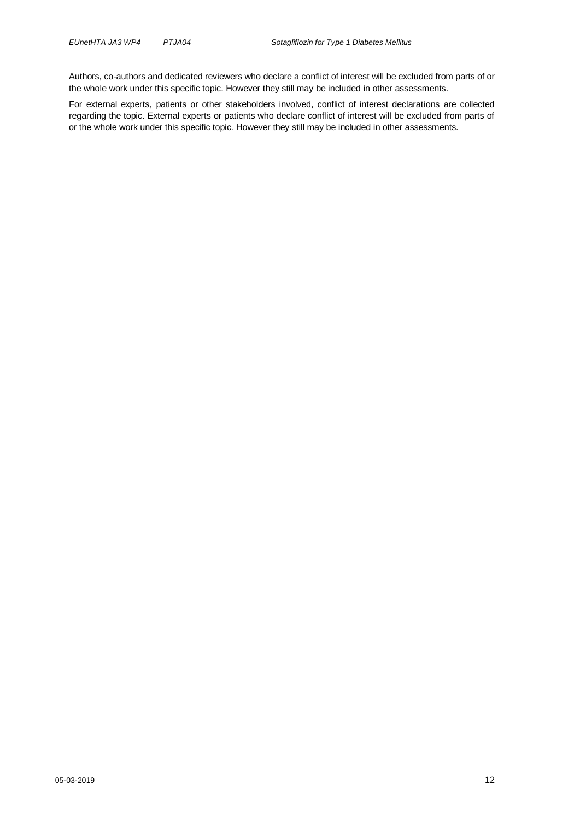Authors, co-authors and dedicated reviewers who declare a conflict of interest will be excluded from parts of or the whole work under this specific topic. However they still may be included in other assessments.

For external experts, patients or other stakeholders involved, conflict of interest declarations are collected regarding the topic. External experts or patients who declare conflict of interest will be excluded from parts of or the whole work under this specific topic. However they still may be included in other assessments.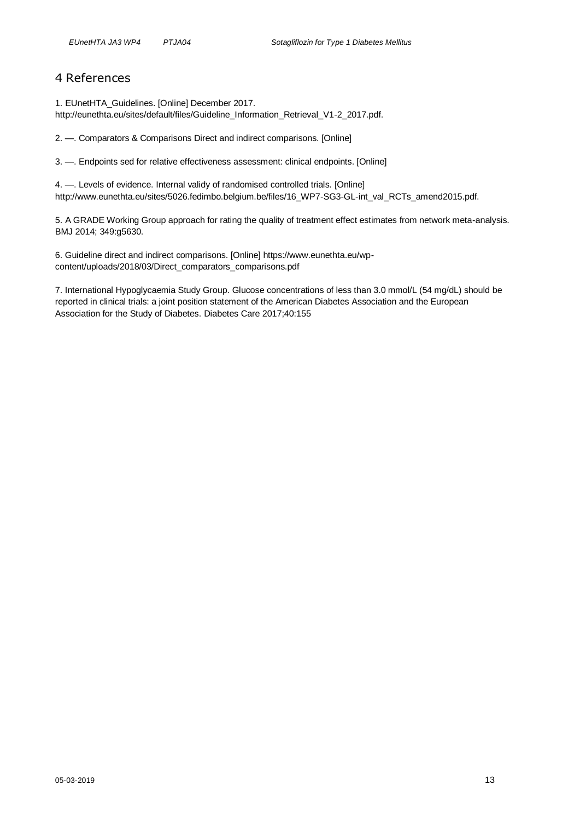### <span id="page-12-0"></span>4 References

1. EUnetHTA\_Guidelines. [Online] December 2017. http://eunethta.eu/sites/default/files/Guideline\_Information\_Retrieval\_V1-2\_2017.pdf.

2. —. Comparators & Comparisons Direct and indirect comparisons. [Online]

3. —. Endpoints sed for relative effectiveness assessment: clinical endpoints. [Online]

4. —. Levels of evidence. Internal validy of randomised controlled trials. [Online] http://www.eunethta.eu/sites/5026.fedimbo.belgium.be/files/16\_WP7-SG3-GL-int\_val\_RCTs\_amend2015.pdf.

5. A GRADE Working Group approach for rating the quality of treatment effect estimates from network meta-analysis. BMJ 2014; 349:g5630.

6. Guideline direct and indirect comparisons. [Online] https://www.eunethta.eu/wpcontent/uploads/2018/03/Direct\_comparators\_comparisons.pdf

7. International Hypoglycaemia Study Group. Glucose concentrations of less than 3.0 mmol/L (54 mg/dL) should be reported in clinical trials: a joint position statement of the American Diabetes Association and the European Association for the Study of Diabetes. Diabetes Care 2017;40:155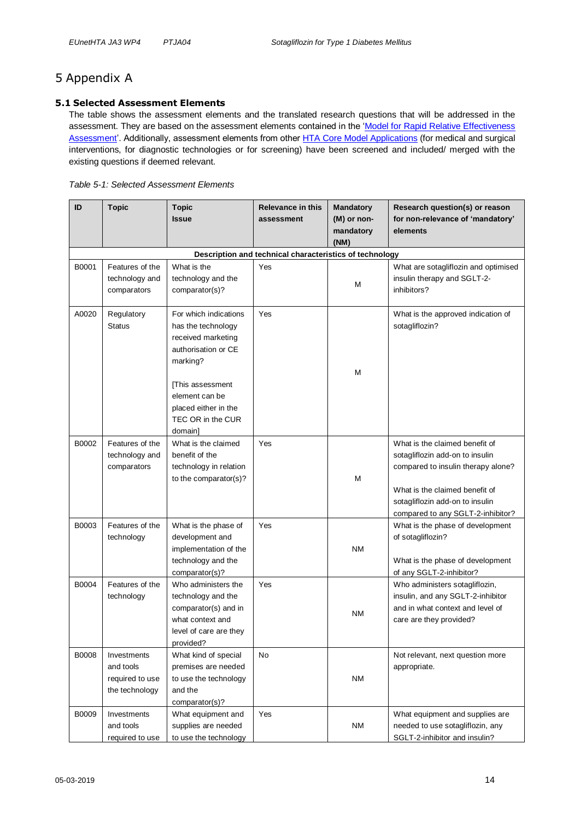# <span id="page-13-0"></span>5 Appendix A

#### <span id="page-13-1"></span>**5.1 Selected Assessment Elements**

The table shows the assessment elements and the translated research questions that will be addressed in the assessment. They are based on the assessment elements contained in the ['Model for Rapid Relative Effectiveness](http://meka.thl.fi/htacore/BrowseModel.aspx)  [Assessment'.](http://meka.thl.fi/htacore/BrowseModel.aspx) Additionally, assessment elements from other [HTA Core Model Applications](http://meka.thl.fi/htacore/BrowseModel.aspx) (for medical and surgical interventions, for diagnostic technologies or for screening) have been screened and included/ merged with the existing questions if deemed relevant.

<span id="page-13-2"></span>

|  | Table 5-1: Selected Assessment Elements |
|--|-----------------------------------------|
|--|-----------------------------------------|

| ID    | <b>Topic</b>                                                    | <b>Topic</b><br><b>Issue</b>                                                                                                                                                                       | <b>Relevance in this</b><br>assessment | <b>Mandatory</b><br>(M) or non-<br>mandatory | Research question(s) or reason<br>for non-relevance of 'mandatory'<br>elements                                                                                                                                    |  |  |
|-------|-----------------------------------------------------------------|----------------------------------------------------------------------------------------------------------------------------------------------------------------------------------------------------|----------------------------------------|----------------------------------------------|-------------------------------------------------------------------------------------------------------------------------------------------------------------------------------------------------------------------|--|--|
|       | (NM)<br>Description and technical characteristics of technology |                                                                                                                                                                                                    |                                        |                                              |                                                                                                                                                                                                                   |  |  |
| B0001 | Features of the<br>technology and<br>comparators                | What is the<br>technology and the<br>comparator(s)?                                                                                                                                                | Yes                                    | М                                            | What are sotagliflozin and optimised<br>insulin therapy and SGLT-2-<br>inhibitors?                                                                                                                                |  |  |
| A0020 | Regulatory<br><b>Status</b>                                     | For which indications<br>has the technology<br>received marketing<br>authorisation or CE<br>marking?<br>[This assessment<br>element can be<br>placed either in the<br>TEC OR in the CUR<br>domain] | Yes                                    | М                                            | What is the approved indication of<br>sotagliflozin?                                                                                                                                                              |  |  |
| B0002 | Features of the<br>technology and<br>comparators                | What is the claimed<br>benefit of the<br>technology in relation<br>to the comparator(s)?                                                                                                           | Yes                                    | М                                            | What is the claimed benefit of<br>sotagliflozin add-on to insulin<br>compared to insulin therapy alone?<br>What is the claimed benefit of<br>sotagliflozin add-on to insulin<br>compared to any SGLT-2-inhibitor? |  |  |
| B0003 | Features of the<br>technology                                   | What is the phase of<br>development and<br>implementation of the<br>technology and the<br>comparator(s)?                                                                                           | Yes                                    | NΜ                                           | What is the phase of development<br>of sotagliflozin?<br>What is the phase of development<br>of any SGLT-2-inhibitor?                                                                                             |  |  |
| B0004 | Features of the<br>technology                                   | Who administers the<br>technology and the<br>comparator(s) and in<br>what context and<br>level of care are they<br>provided?                                                                       | Yes                                    | ΝM                                           | Who administers sotagliflozin,<br>insulin, and any SGLT-2-inhibitor<br>and in what context and level of<br>care are they provided?                                                                                |  |  |
| B0008 | Investments<br>and tools<br>required to use<br>the technology   | What kind of special<br>premises are needed<br>to use the technology<br>and the<br>comparator(s)?                                                                                                  | <b>No</b>                              | <b>NM</b>                                    | Not relevant, next question more<br>appropriate.                                                                                                                                                                  |  |  |
| B0009 | Investments<br>and tools<br>required to use                     | What equipment and<br>supplies are needed<br>to use the technology                                                                                                                                 | Yes                                    | <b>NM</b>                                    | What equipment and supplies are<br>needed to use sotagliflozin, any<br>SGLT-2-inhibitor and insulin?                                                                                                              |  |  |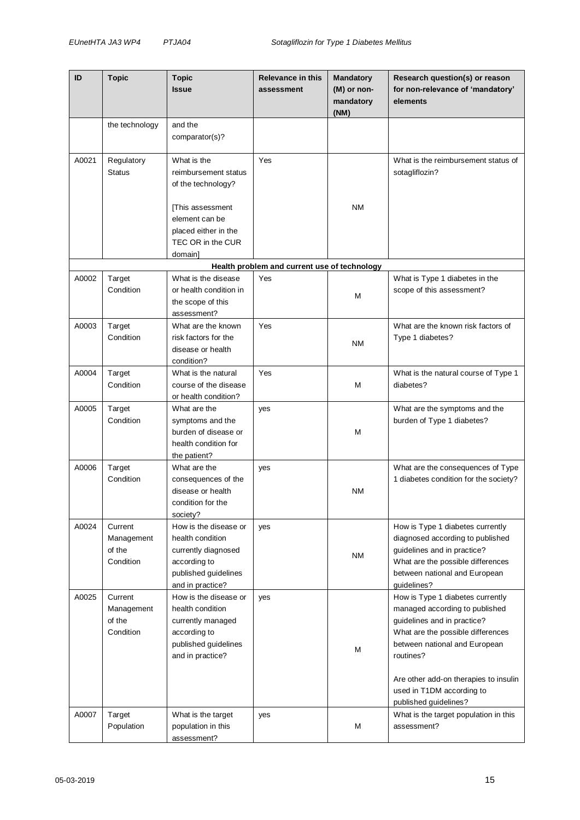| ID    | <b>Topic</b>                                 | <b>Topic</b><br><b>Issue</b>                                                                                                                            | <b>Relevance in this</b><br>assessment       | <b>Mandatory</b><br>(M) or non-<br>mandatory<br>(NM) | Research question(s) or reason<br>for non-relevance of 'mandatory'<br>elements                                                                                                                                                                                                      |
|-------|----------------------------------------------|---------------------------------------------------------------------------------------------------------------------------------------------------------|----------------------------------------------|------------------------------------------------------|-------------------------------------------------------------------------------------------------------------------------------------------------------------------------------------------------------------------------------------------------------------------------------------|
|       | the technology                               | and the<br>comparator(s)?                                                                                                                               |                                              |                                                      |                                                                                                                                                                                                                                                                                     |
| A0021 | Regulatory<br><b>Status</b>                  | What is the<br>reimbursement status<br>of the technology?<br>[This assessment<br>element can be<br>placed either in the<br>TEC OR in the CUR<br>domain] | Yes                                          | ΝM                                                   | What is the reimbursement status of<br>sotagliflozin?                                                                                                                                                                                                                               |
|       |                                              |                                                                                                                                                         | Health problem and current use of technology |                                                      |                                                                                                                                                                                                                                                                                     |
| A0002 | Target<br>Condition                          | What is the disease<br>or health condition in<br>the scope of this<br>assessment?                                                                       | Yes                                          | M                                                    | What is Type 1 diabetes in the<br>scope of this assessment?                                                                                                                                                                                                                         |
| A0003 | Target<br>Condition                          | What are the known<br>risk factors for the<br>disease or health<br>condition?                                                                           | Yes                                          | ΝM                                                   | What are the known risk factors of<br>Type 1 diabetes?                                                                                                                                                                                                                              |
| A0004 | Target<br>Condition                          | What is the natural<br>course of the disease<br>or health condition?                                                                                    | Yes                                          | M                                                    | What is the natural course of Type 1<br>diabetes?                                                                                                                                                                                                                                   |
| A0005 | Target<br>Condition                          | What are the<br>symptoms and the<br>burden of disease or<br>health condition for<br>the patient?                                                        | yes                                          | М                                                    | What are the symptoms and the<br>burden of Type 1 diabetes?                                                                                                                                                                                                                         |
| A0006 | Target<br>Condition                          | What are the<br>consequences of the<br>disease or health<br>condition for the<br>society?                                                               | yes                                          | ΝM                                                   | What are the consequences of Type<br>1 diabetes condition for the society?                                                                                                                                                                                                          |
| A0024 | Current<br>Management<br>of the<br>Condition | How is the disease or<br>health condition<br>currently diagnosed<br>according to<br>published guidelines<br>and in practice?                            | yes                                          | ΝM                                                   | How is Type 1 diabetes currently<br>diagnosed according to published<br>guidelines and in practice?<br>What are the possible differences<br>between national and European<br>guidelines?                                                                                            |
| A0025 | Current<br>Management<br>of the<br>Condition | How is the disease or<br>health condition<br>currently managed<br>according to<br>published guidelines<br>and in practice?                              | yes                                          | M                                                    | How is Type 1 diabetes currently<br>managed according to published<br>guidelines and in practice?<br>What are the possible differences<br>between national and European<br>routines?<br>Are other add-on therapies to insulin<br>used in T1DM according to<br>published guidelines? |
| A0007 | Target<br>Population                         | What is the target<br>population in this<br>assessment?                                                                                                 | yes                                          | Μ                                                    | What is the target population in this<br>assessment?                                                                                                                                                                                                                                |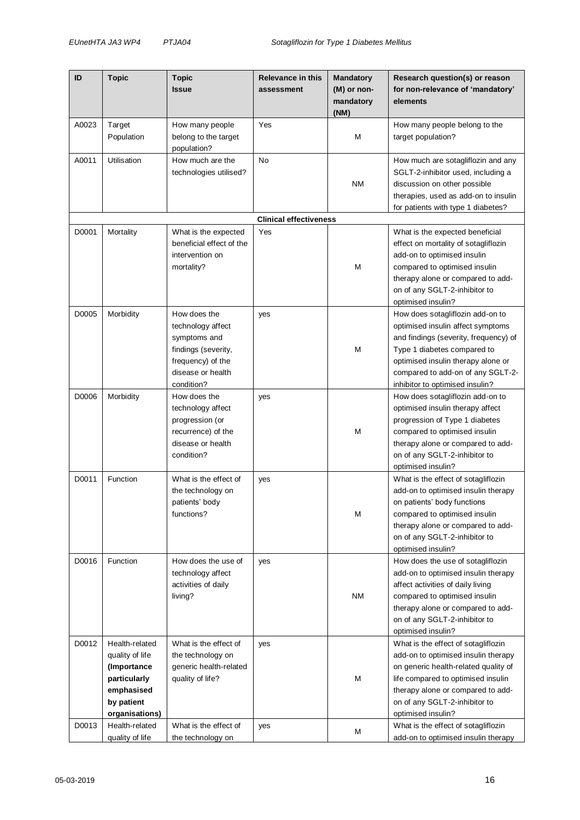| ID             | <b>Topic</b>                                                                                                                     | Topic<br><b>Issue</b>                                                                                                            | <b>Relevance in this</b><br>assessment | <b>Mandatory</b><br>(M) or non-<br>mandatory<br>(NM) | Research question(s) or reason<br>for non-relevance of 'mandatory'<br>elements                                                                                                                                                                                                              |
|----------------|----------------------------------------------------------------------------------------------------------------------------------|----------------------------------------------------------------------------------------------------------------------------------|----------------------------------------|------------------------------------------------------|---------------------------------------------------------------------------------------------------------------------------------------------------------------------------------------------------------------------------------------------------------------------------------------------|
| A0023          | Target                                                                                                                           | How many people                                                                                                                  | Yes                                    |                                                      | How many people belong to the                                                                                                                                                                                                                                                               |
|                | Population                                                                                                                       | belong to the target<br>population?                                                                                              |                                        | М                                                    | target population?                                                                                                                                                                                                                                                                          |
| A0011          | Utilisation                                                                                                                      | How much are the<br>technologies utilised?                                                                                       | No                                     | ΝM                                                   | How much are sotagliflozin and any<br>SGLT-2-inhibitor used, including a<br>discussion on other possible<br>therapies, used as add-on to insulin<br>for patients with type 1 diabetes?                                                                                                      |
|                |                                                                                                                                  |                                                                                                                                  | <b>Clinical effectiveness</b>          |                                                      |                                                                                                                                                                                                                                                                                             |
| D0001          | Mortality                                                                                                                        | What is the expected<br>beneficial effect of the<br>intervention on<br>mortality?                                                | Yes                                    | М                                                    | What is the expected beneficial<br>effect on mortality of sotagliflozin<br>add-on to optimised insulin<br>compared to optimised insulin<br>therapy alone or compared to add-<br>on of any SGLT-2-inhibitor to<br>optimised insulin?                                                         |
| D0005          | Morbidity                                                                                                                        | How does the<br>technology affect<br>symptoms and<br>findings (severity,<br>frequency) of the<br>disease or health<br>condition? | yes                                    | M                                                    | How does sotagliflozin add-on to<br>optimised insulin affect symptoms<br>and findings (severity, frequency) of<br>Type 1 diabetes compared to<br>optimised insulin therapy alone or<br>compared to add-on of any SGLT-2-<br>inhibitor to optimised insulin?                                 |
| D0006          | Morbidity                                                                                                                        | How does the<br>technology affect<br>progression (or<br>recurrence) of the<br>disease or health<br>condition?                    | yes                                    | M                                                    | How does sotagliflozin add-on to<br>optimised insulin therapy affect<br>progression of Type 1 diabetes<br>compared to optimised insulin<br>therapy alone or compared to add-<br>on of any SGLT-2-inhibitor to<br>optimised insulin?                                                         |
| D0011          | Function                                                                                                                         | What is the effect of<br>the technology on<br>patients' body<br>functions?                                                       | yes                                    | M                                                    | What is the effect of sotagliflozin<br>add-on to optimised insulin therapy<br>on patients' body functions<br>compared to optimised insulin<br>therapy alone or compared to add-<br>on of any SGLT-2-inhibitor to<br>optimised insulin?                                                      |
| D0016          | Function                                                                                                                         | How does the use of<br>technology affect<br>activities of daily<br>living?                                                       | yes                                    | <b>NM</b>                                            | How does the use of sotagliflozin<br>add-on to optimised insulin therapy<br>affect activities of daily living<br>compared to optimised insulin<br>therapy alone or compared to add-<br>on of any SGLT-2-inhibitor to<br>optimised insulin?                                                  |
| D0012<br>D0013 | Health-related<br>quality of life<br>(Importance<br>particularly<br>emphasised<br>by patient<br>organisations)<br>Health-related | What is the effect of<br>the technology on<br>generic health-related<br>quality of life?<br>What is the effect of                | yes<br>yes                             | М                                                    | What is the effect of sotagliflozin<br>add-on to optimised insulin therapy<br>on generic health-related quality of<br>life compared to optimised insulin<br>therapy alone or compared to add-<br>on of any SGLT-2-inhibitor to<br>optimised insulin?<br>What is the effect of sotagliflozin |
|                | quality of life                                                                                                                  | the technology on                                                                                                                |                                        | M                                                    | add-on to optimised insulin therapy                                                                                                                                                                                                                                                         |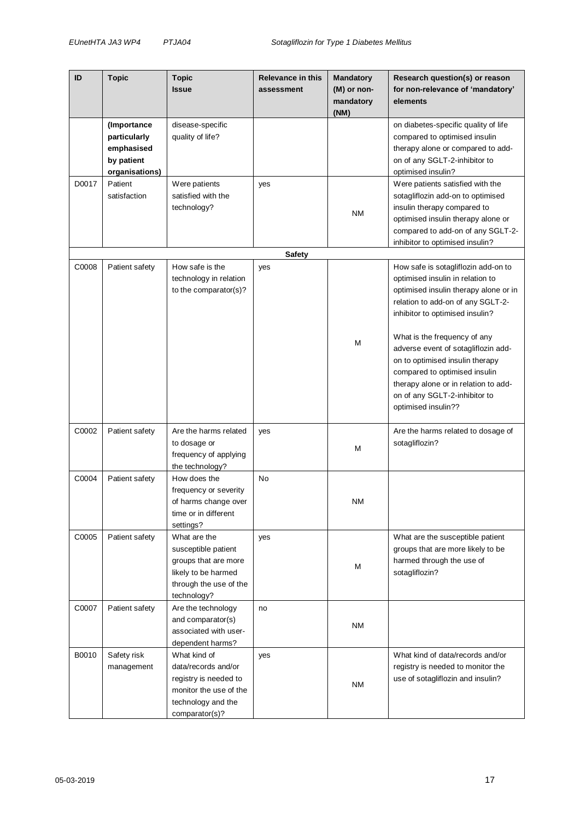| ID    | <b>Topic</b>                                                              | <b>Topic</b><br><b>Issue</b>                                                                                                   | <b>Relevance in this</b><br>assessment | <b>Mandatory</b><br>(M) or non-<br>mandatory<br>(NM) | Research question(s) or reason<br>for non-relevance of 'mandatory'<br>elements                                                                                                                                                                                                                                                                                                                                                      |
|-------|---------------------------------------------------------------------------|--------------------------------------------------------------------------------------------------------------------------------|----------------------------------------|------------------------------------------------------|-------------------------------------------------------------------------------------------------------------------------------------------------------------------------------------------------------------------------------------------------------------------------------------------------------------------------------------------------------------------------------------------------------------------------------------|
|       | (Importance<br>particularly<br>emphasised<br>by patient<br>organisations) | disease-specific<br>quality of life?                                                                                           |                                        |                                                      | on diabetes-specific quality of life<br>compared to optimised insulin<br>therapy alone or compared to add-<br>on of any SGLT-2-inhibitor to<br>optimised insulin?                                                                                                                                                                                                                                                                   |
| D0017 | Patient<br>satisfaction                                                   | Were patients<br>satisfied with the<br>technology?                                                                             | yes                                    | ΝM                                                   | Were patients satisfied with the<br>sotagliflozin add-on to optimised<br>insulin therapy compared to<br>optimised insulin therapy alone or<br>compared to add-on of any SGLT-2-<br>inhibitor to optimised insulin?                                                                                                                                                                                                                  |
|       |                                                                           |                                                                                                                                | <b>Safety</b>                          |                                                      |                                                                                                                                                                                                                                                                                                                                                                                                                                     |
| C0008 | Patient safety                                                            | How safe is the<br>technology in relation<br>to the comparator(s)?                                                             | yes                                    | M                                                    | How safe is sotagliflozin add-on to<br>optimised insulin in relation to<br>optimised insulin therapy alone or in<br>relation to add-on of any SGLT-2-<br>inhibitor to optimised insulin?<br>What is the frequency of any<br>adverse event of sotagliflozin add-<br>on to optimised insulin therapy<br>compared to optimised insulin<br>therapy alone or in relation to add-<br>on of any SGLT-2-inhibitor to<br>optimised insulin?? |
| C0002 | Patient safety                                                            | Are the harms related<br>to dosage or<br>frequency of applying<br>the technology?                                              | yes                                    | Μ                                                    | Are the harms related to dosage of<br>sotagliflozin?                                                                                                                                                                                                                                                                                                                                                                                |
| C0004 | Patient safety                                                            | How does the<br>frequency or severity<br>of harms change over<br>time or in different<br>settings?                             | No                                     | <b>NM</b>                                            |                                                                                                                                                                                                                                                                                                                                                                                                                                     |
| C0005 | Patient safety                                                            | What are the<br>susceptible patient<br>groups that are more<br>likely to be harmed<br>through the use of the<br>technology?    | yes                                    | м                                                    | What are the susceptible patient<br>groups that are more likely to be<br>harmed through the use of<br>sotagliflozin?                                                                                                                                                                                                                                                                                                                |
| C0007 | Patient safety                                                            | Are the technology<br>and comparator(s)<br>associated with user-<br>dependent harms?                                           | no                                     | ΝM                                                   |                                                                                                                                                                                                                                                                                                                                                                                                                                     |
| B0010 | Safety risk<br>management                                                 | What kind of<br>data/records and/or<br>registry is needed to<br>monitor the use of the<br>technology and the<br>comparator(s)? | yes                                    | <b>NM</b>                                            | What kind of data/records and/or<br>registry is needed to monitor the<br>use of sotagliflozin and insulin?                                                                                                                                                                                                                                                                                                                          |